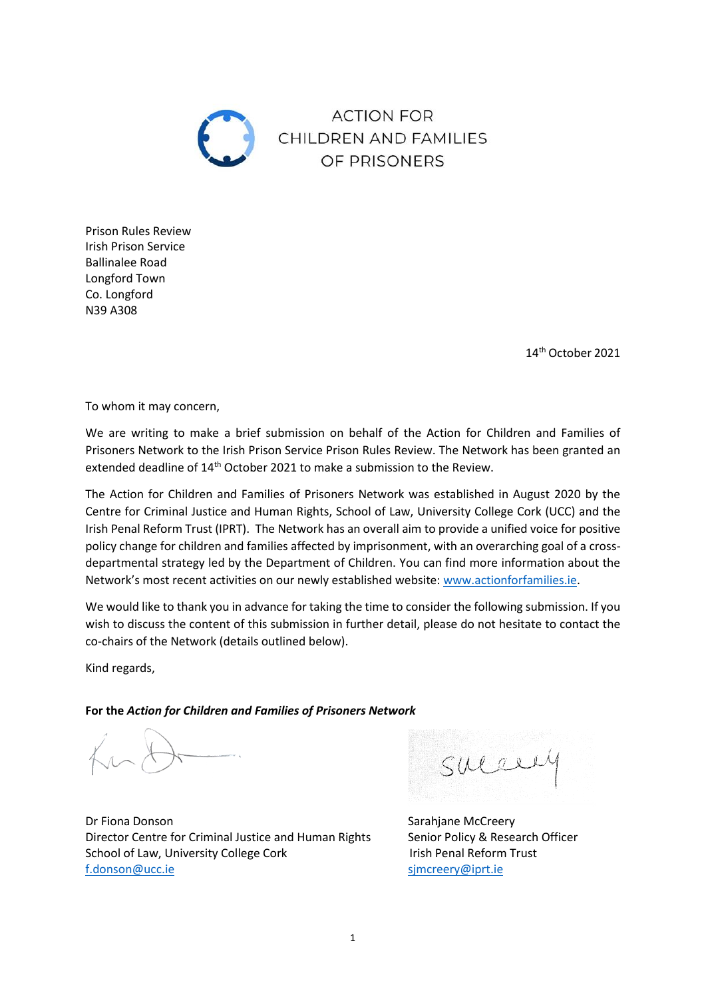

**ACTION FOR** CHILDREN AND FAMILIES OF PRISONERS

Prison Rules Review Irish Prison Service Ballinalee Road Longford Town Co. Longford N39 A308

14th October 2021

To whom it may concern,

We are writing to make a brief submission on behalf of the Action for Children and Families of Prisoners Network to the Irish Prison Service Prison Rules Review. The Network has been granted an extended deadline of 14<sup>th</sup> October 2021 to make a submission to the Review.

The Action for Children and Families of Prisoners Network was established in August 2020 by the Centre for Criminal Justice and Human Rights, School of Law, University College Cork (UCC) and the Irish Penal Reform Trust (IPRT). The Network has an overall aim to provide a unified voice for positive policy change for children and families affected by imprisonment, with an overarching goal of a crossdepartmental strategy led by the Department of Children. You can find more information about the Network's most recent activities on our newly established website: [www.actionforfamilies.ie.](http://www.actionforfamilies.ie/)

We would like to thank you in advance for taking the time to consider the following submission. If you wish to discuss the content of this submission in further detail, please do not hesitate to contact the co-chairs of the Network (details outlined below).

Kind regards,

**For the** *Action for Children and Families of Prisoners Network*

Dr Fiona Donson Sarahjane McCreery Director Centre for Criminal Justice and Human Rights Senior Policy & Research Officer School of Law, University College Cork Irish Penal Reform Trust [f.donson@ucc.ie](mailto:f.donson@ucc.ie) [sjmcreery@iprt.ie](mailto:sjmcreery@iprt.ie)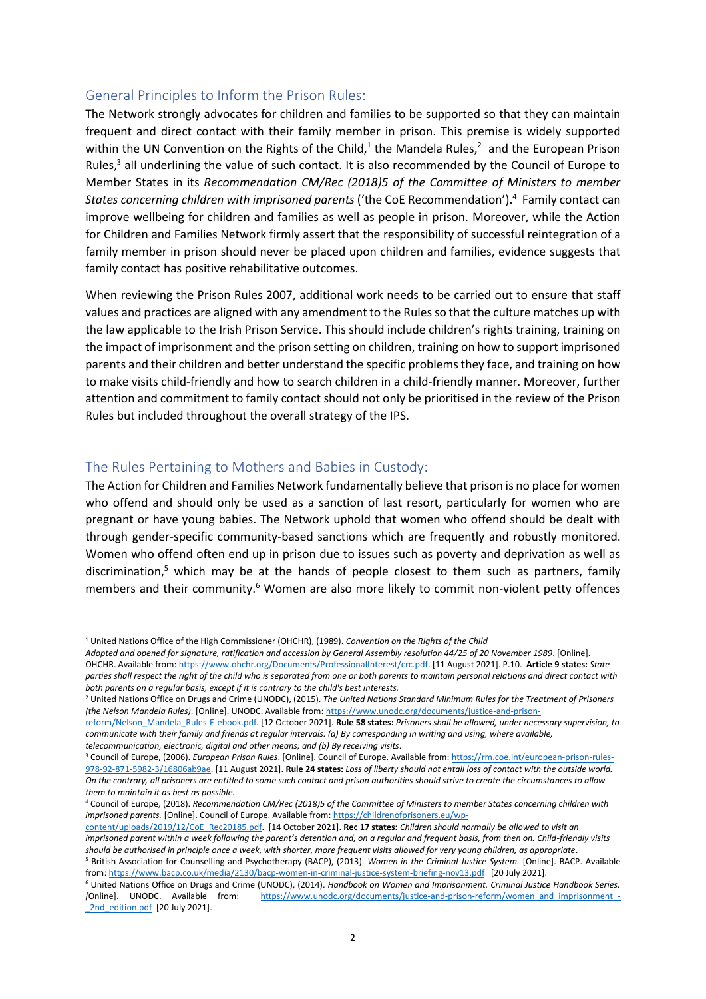#### General Principles to Inform the Prison Rules:

The Network strongly advocates for children and families to be supported so that they can maintain frequent and direct contact with their family member in prison. This premise is widely supported within the UN Convention on the Rights of the Child,<sup>1</sup> the Mandela Rules,<sup>2</sup> and the European Prison Rules, <sup>3</sup> all underlining the value of such contact. It is also recommended by the Council of Europe to Member States in its *Recommendation CM/Rec (2018)5 of the Committee of Ministers to member States concerning children with imprisoned parents* ('the CoE Recommendation'). 4 Family contact can improve wellbeing for children and families as well as people in prison. Moreover, while the Action for Children and Families Network firmly assert that the responsibility of successful reintegration of a family member in prison should never be placed upon children and families, evidence suggests that family contact has positive rehabilitative outcomes.

When reviewing the Prison Rules 2007, additional work needs to be carried out to ensure that staff values and practices are aligned with any amendment to the Rules so that the culture matches up with the law applicable to the Irish Prison Service. This should include children's rights training, training on the impact of imprisonment and the prison setting on children, training on how to support imprisoned parents and their children and better understand the specific problems they face, and training on how to make visits child-friendly and how to search children in a child-friendly manner. Moreover, further attention and commitment to family contact should not only be prioritised in the review of the Prison Rules but included throughout the overall strategy of the IPS.

### The Rules Pertaining to Mothers and Babies in Custody:

The Action for Children and Families Network fundamentally believe that prison is no place for women who offend and should only be used as a sanction of last resort, particularly for women who are pregnant or have young babies. The Network uphold that women who offend should be dealt with through gender-specific community-based sanctions which are frequently and robustly monitored. Women who offend often end up in prison due to issues such as poverty and deprivation as well as discrimination,<sup>5</sup> which may be at the hands of people closest to them such as partners, family members and their community.<sup>6</sup> Women are also more likely to commit non-violent petty offences

[content/uploads/2019/12/CoE\\_Rec20185.pdf.](https://childrenofprisoners.eu/wp-content/uploads/2019/12/CoE_Rec20185.pdf) [14 October 2021]. **Rec 17 states:** *Children should normally be allowed to visit an imprisoned parent within a week following the parent's detention and, on a regular and frequent basis, from then on. Child-friendly visits should be authorised in principle once a week, with shorter, more frequent visits allowed for very young children, as appropriate*. <sup>5</sup> British Association for Counselling and Psychotherapy (BACP), (2013). *Women in the Criminal Justice System.* [Online]. BACP. Available

<sup>1</sup> United Nations Office of the High Commissioner (OHCHR), (1989). *Convention on the Rights of the Child*

*Adopted and opened for signature, ratification and accession by General Assembly resolution 44/25 of 20 November 1989*. [Online]. OHCHR. Available from: [https://www.ohchr.org/Documents/ProfessionalInterest/crc.pdf.](https://www.ohchr.org/Documents/ProfessionalInterest/crc.pdf) [11 August 2021]. P.10. **Article 9 states:** *State parties shall respect the right of the child who is separated from one or both parents to maintain personal relations and direct contact with both parents on a regular basis, except if it is contrary to the child's best interests.*

<sup>2</sup> United Nations Office on Drugs and Crime (UNODC), (2015). *The United Nations Standard Minimum Rules for the Treatment of Prisoners (the Nelson Mandela Rules)*. [Online]. UNODC. Available from[: https://www.unodc.org/documents/justice-and-prison-](https://www.unodc.org/documents/justice-and-prison-reform/Nelson_Mandela_Rules-E-ebook.pdf)

[reform/Nelson\\_Mandela\\_Rules-E-ebook.pdf.](https://www.unodc.org/documents/justice-and-prison-reform/Nelson_Mandela_Rules-E-ebook.pdf) [12 October 2021]. **Rule 58 states:** *Prisoners shall be allowed, under necessary supervision, to communicate with their family and friends at regular intervals: (a) By corresponding in writing and using, where available, telecommunication, electronic, digital and other means; and (b) By receiving visits*.

<sup>3</sup> Council of Europe, (2006). *European Prison Rules*. [Online]. Council of Europe. Available from[: https://rm.coe.int/european-prison-rules-](https://rm.coe.int/european-prison-rules-978-92-871-5982-3/16806ab9ae)[978-92-871-5982-3/16806ab9ae.](https://rm.coe.int/european-prison-rules-978-92-871-5982-3/16806ab9ae) [11 August 2021]. **Rule 24 states:** *Loss of liberty should not entail loss of contact with the outside world. On the contrary, all prisoners are entitled to some such contact and prison authorities should strive to create the circumstances to allow them to maintain it as best as possible.*

<sup>4</sup> Council of Europe, (2018). *Recommendation CM/Rec (2018)5 of the Committee of Ministers to member States concerning children with imprisoned parents.* [Online]. Council of Europe. Available from[: https://childrenofprisoners.eu/wp-](https://childrenofprisoners.eu/wp-content/uploads/2019/12/CoE_Rec20185.pdf)

from[: https://www.bacp.co.uk/media/2130/bacp-women-in-criminal-justice-system-briefing-nov13.pdf](https://www.bacp.co.uk/media/2130/bacp-women-in-criminal-justice-system-briefing-nov13.pdf) [20 July 2021].

<sup>6</sup> United Nations Office on Drugs and Crime (UNODC), (2014). *Handbook on Women and Imprisonment. Criminal Justice Handbook Series. [*Online]. UNODC. Available from: [https://www.unodc.org/documents/justice-and-prison-reform/women\\_and\\_imprisonment\\_-](https://www.unodc.org/documents/justice-and-prison-reform/women_and_imprisonment_-_2nd_edition.pdf) [\\_2nd\\_edition.pdf](https://www.unodc.org/documents/justice-and-prison-reform/women_and_imprisonment_-_2nd_edition.pdf) [20 July 2021].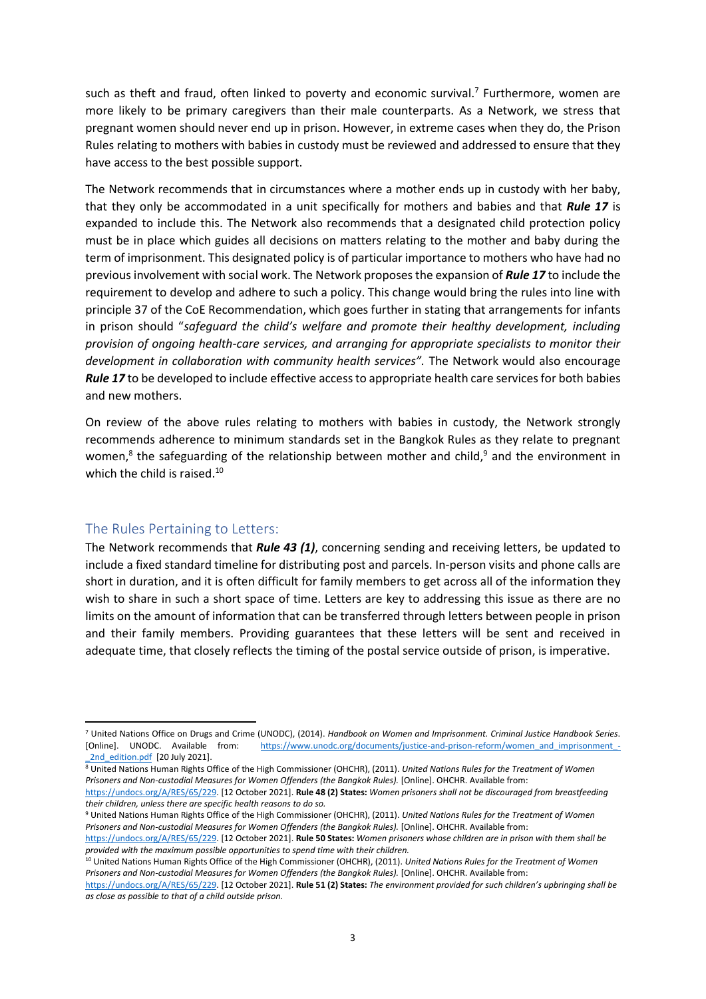such as theft and fraud, often linked to poverty and economic survival.<sup>7</sup> Furthermore, women are more likely to be primary caregivers than their male counterparts. As a Network, we stress that pregnant women should never end up in prison. However, in extreme cases when they do, the Prison Rules relating to mothers with babies in custody must be reviewed and addressed to ensure that they have access to the best possible support.

The Network recommends that in circumstances where a mother ends up in custody with her baby, that they only be accommodated in a unit specifically for mothers and babies and that *Rule 17* is expanded to include this. The Network also recommends that a designated child protection policy must be in place which guides all decisions on matters relating to the mother and baby during the term of imprisonment. This designated policy is of particular importance to mothers who have had no previous involvement with social work. The Network proposes the expansion of *Rule 17* to include the requirement to develop and adhere to such a policy. This change would bring the rules into line with principle 37 of the CoE Recommendation, which goes further in stating that arrangements for infants in prison should "*safeguard the child's welfare and promote their healthy development, including provision of ongoing health-care services, and arranging for appropriate specialists to monitor their development in collaboration with community health services".* The Network would also encourage *Rule 17* to be developed to include effective access to appropriate health care services for both babies and new mothers.

On review of the above rules relating to mothers with babies in custody, the Network strongly recommends adherence to minimum standards set in the Bangkok Rules as they relate to pregnant women,<sup>8</sup> the safeguarding of the relationship between mother and child,<sup>9</sup> and the environment in which the child is raised.<sup>10</sup>

#### The Rules Pertaining to Letters:

The Network recommends that *Rule 43 (1)*, concerning sending and receiving letters, be updated to include a fixed standard timeline for distributing post and parcels. In-person visits and phone calls are short in duration, and it is often difficult for family members to get across all of the information they wish to share in such a short space of time. Letters are key to addressing this issue as there are no limits on the amount of information that can be transferred through letters between people in prison and their family members. Providing guarantees that these letters will be sent and received in adequate time, that closely reflects the timing of the postal service outside of prison, is imperative.

<sup>7</sup> United Nations Office on Drugs and Crime (UNODC), (2014). *Handbook on Women and Imprisonment. Criminal Justice Handbook Series*. [https://www.unodc.org/documents/justice-and-prison-reform/women\\_and\\_imprisonment\\_-](https://www.unodc.org/documents/justice-and-prison-reform/women_and_imprisonment_-_2nd_edition.pdf) 2nd\_edition.pdf [20 July 2021].

<sup>8</sup> United Nations Human Rights Office of the High Commissioner (OHCHR), (2011). *United Nations Rules for the Treatment of Women Prisoners and Non-custodial Measures for Women Offenders (the Bangkok Rules).* [Online]. OHCHR. Available from:

[https://undocs.org/A/RES/65/229.](https://undocs.org/A/RES/65/229) [12 October 2021]. **Rule 48 (2) States:** *Women prisoners shall not be discouraged from breastfeeding their children, unless there are specific health reasons to do so.*

<sup>9</sup> United Nations Human Rights Office of the High Commissioner (OHCHR), (2011). *United Nations Rules for the Treatment of Women Prisoners and Non-custodial Measures for Women Offenders (the Bangkok Rules).* [Online]. OHCHR. Available from:

[https://undocs.org/A/RES/65/229.](https://undocs.org/A/RES/65/229) [12 October 2021]. **Rule 50 States:** *Women prisoners whose children are in prison with them shall be provided with the maximum possible opportunities to spend time with their children.*

<sup>10</sup> United Nations Human Rights Office of the High Commissioner (OHCHR), (2011). *United Nations Rules for the Treatment of Women Prisoners and Non-custodial Measures for Women Offenders (the Bangkok Rules).* [Online]. OHCHR. Available from:

[https://undocs.org/A/RES/65/229.](https://undocs.org/A/RES/65/229) [12 October 2021]. **Rule 51 (2) States:** *The environment provided for such children's upbringing shall be as close as possible to that of a child outside prison.*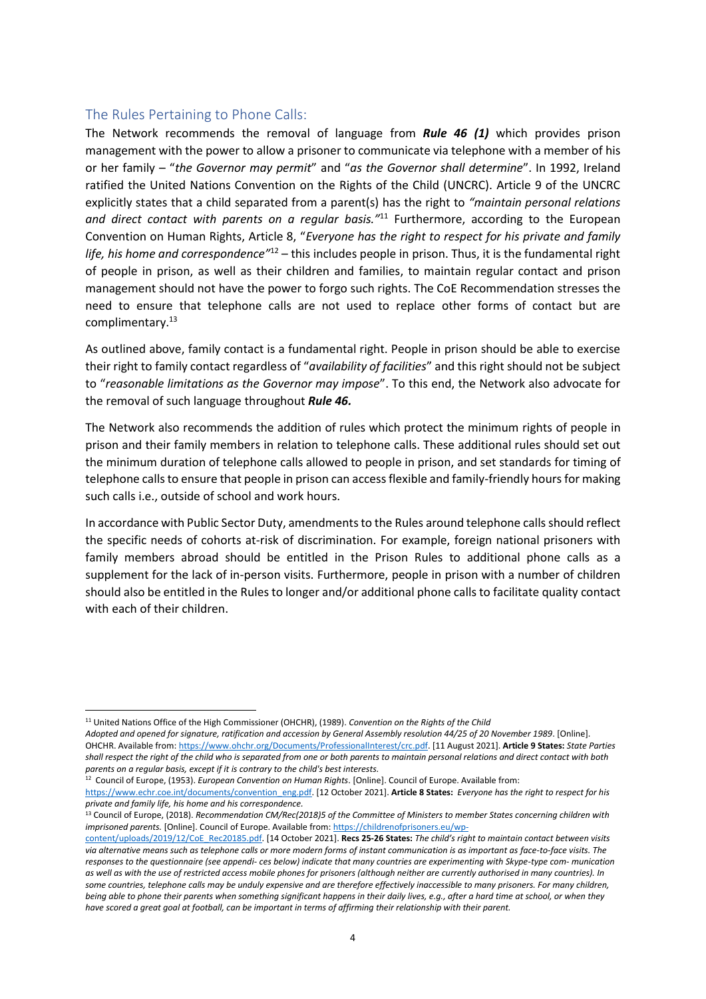### The Rules Pertaining to Phone Calls:

The Network recommends the removal of language from *Rule 46 (1)* which provides prison management with the power to allow a prisoner to communicate via telephone with a member of his or her family – "*the Governor may permit*" and "*as the Governor shall determine*". In 1992, Ireland ratified the United Nations Convention on the Rights of the Child (UNCRC). Article 9 of the UNCRC explicitly states that a child separated from a parent(s) has the right to *"maintain personal relations and direct contact with parents on a regular basis."*<sup>11</sup> Furthermore, according to the European Convention on Human Rights, Article 8, "*Everyone has the right to respect for his private and family life, his home and correspondence"*<sup>12</sup> – this includes people in prison. Thus, it is the fundamental right of people in prison, as well as their children and families, to maintain regular contact and prison management should not have the power to forgo such rights. The CoE Recommendation stresses the need to ensure that telephone calls are not used to replace other forms of contact but are complimentary.<sup>13</sup>

As outlined above, family contact is a fundamental right. People in prison should be able to exercise their right to family contact regardless of "*availability of facilities*" and this right should not be subject to "*reasonable limitations as the Governor may impose*". To this end, the Network also advocate for the removal of such language throughout *Rule 46.*

The Network also recommends the addition of rules which protect the minimum rights of people in prison and their family members in relation to telephone calls. These additional rules should set out the minimum duration of telephone calls allowed to people in prison, and set standards for timing of telephone calls to ensure that people in prison can access flexible and family-friendly hours for making such calls i.e., outside of school and work hours.

In accordance with Public Sector Duty, amendments to the Rules around telephone calls should reflect the specific needs of cohorts at-risk of discrimination. For example, foreign national prisoners with family members abroad should be entitled in the Prison Rules to additional phone calls as a supplement for the lack of in-person visits. Furthermore, people in prison with a number of children should also be entitled in the Rules to longer and/or additional phone calls to facilitate quality contact with each of their children.

<sup>11</sup> United Nations Office of the High Commissioner (OHCHR), (1989). *Convention on the Rights of the Child*

*Adopted and opened for signature, ratification and accession by General Assembly resolution 44/25 of 20 November 1989*. [Online]. OHCHR. Available from: [https://www.ohchr.org/Documents/ProfessionalInterest/crc.pdf.](https://www.ohchr.org/Documents/ProfessionalInterest/crc.pdf) [11 August 2021]. **Article 9 States:** *State Parties shall respect the right of the child who is separated from one or both parents to maintain personal relations and direct contact with both parents on a regular basis, except if it is contrary to the child's best interests.*

<sup>12</sup> Council of Europe, (1953). *European Convention on Human Rights*. [Online]. Council of Europe. Available from:

[https://www.echr.coe.int/documents/convention\\_eng.pdf.](https://www.echr.coe.int/documents/convention_eng.pdf) [12 October 2021]. **Article 8 States:** *Everyone has the right to respect for his private and family life, his home and his correspondence.*

<sup>13</sup> Council of Europe, (2018). *Recommendation CM/Rec(2018)5 of the Committee of Ministers to member States concerning children with imprisoned parents.* [Online]. Council of Europe. Available from[: https://childrenofprisoners.eu/wp-](https://childrenofprisoners.eu/wp-content/uploads/2019/12/CoE_Rec20185.pdf)

[content/uploads/2019/12/CoE\\_Rec20185.pdf.](https://childrenofprisoners.eu/wp-content/uploads/2019/12/CoE_Rec20185.pdf) [14 October 2021]. **Recs 25-26 States:** *The child's right to maintain contact between visits via alternative means such as telephone calls or more modern forms of instant communication is as important as face-to-face visits. The responses to the questionnaire (see appendi- ces below) indicate that many countries are experimenting with Skype-type com- munication as well as with the use of restricted access mobile phones for prisoners (although neither are currently authorised in many countries). In some countries, telephone calls may be unduly expensive and are therefore effectively inaccessible to many prisoners. For many children, being able to phone their parents when something significant happens in their daily lives, e.g., after a hard time at school, or when they have scored a great goal at football, can be important in terms of affirming their relationship with their parent.*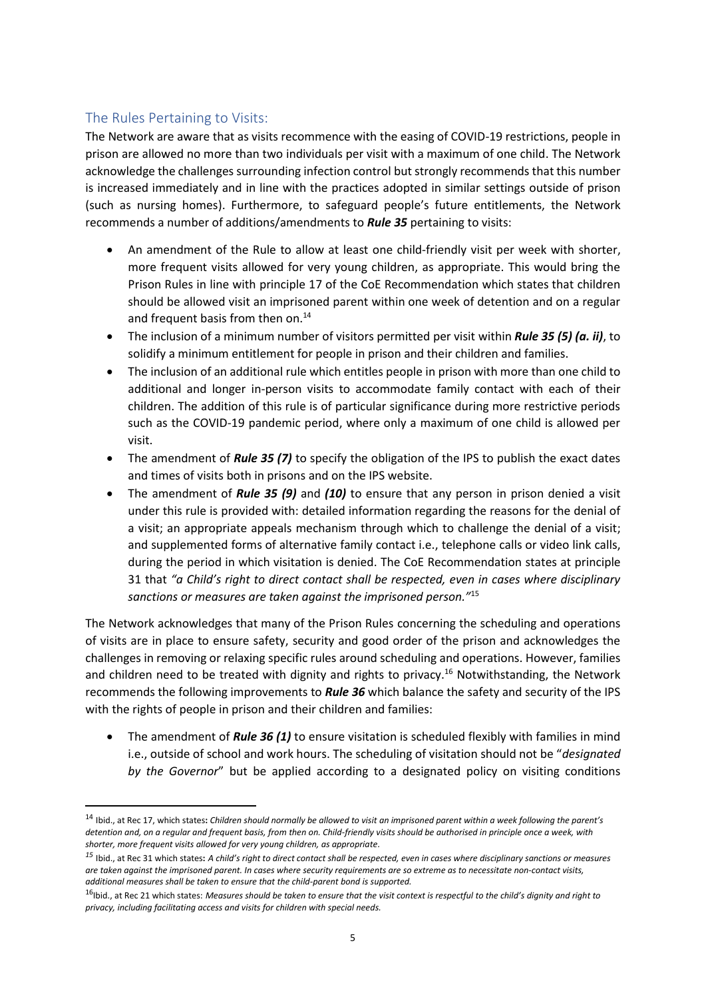# The Rules Pertaining to Visits:

The Network are aware that as visits recommence with the easing of COVID-19 restrictions, people in prison are allowed no more than two individuals per visit with a maximum of one child. The Network acknowledge the challenges surrounding infection control but strongly recommends that this number is increased immediately and in line with the practices adopted in similar settings outside of prison (such as nursing homes). Furthermore, to safeguard people's future entitlements, the Network recommends a number of additions/amendments to *Rule 35* pertaining to visits:

- An amendment of the Rule to allow at least one child-friendly visit per week with shorter, more frequent visits allowed for very young children, as appropriate. This would bring the Prison Rules in line with principle 17 of the CoE Recommendation which states that children should be allowed visit an imprisoned parent within one week of detention and on a regular and frequent basis from then on.<sup>14</sup>
- The inclusion of a minimum number of visitors permitted per visit within *Rule 35 (5) (a. ii)*, to solidify a minimum entitlement for people in prison and their children and families.
- The inclusion of an additional rule which entitles people in prison with more than one child to additional and longer in-person visits to accommodate family contact with each of their children. The addition of this rule is of particular significance during more restrictive periods such as the COVID-19 pandemic period, where only a maximum of one child is allowed per visit.
- The amendment of *Rule 35 (7)* to specify the obligation of the IPS to publish the exact dates and times of visits both in prisons and on the IPS website.
- The amendment of *Rule 35 (9)* and *(10)* to ensure that any person in prison denied a visit under this rule is provided with: detailed information regarding the reasons for the denial of a visit; an appropriate appeals mechanism through which to challenge the denial of a visit; and supplemented forms of alternative family contact i.e., telephone calls or video link calls, during the period in which visitation is denied. The CoE Recommendation states at principle 31 that *"a Child's right to direct contact shall be respected, even in cases where disciplinary sanctions or measures are taken against the imprisoned person."*<sup>15</sup>

The Network acknowledges that many of the Prison Rules concerning the scheduling and operations of visits are in place to ensure safety, security and good order of the prison and acknowledges the challenges in removing or relaxing specific rules around scheduling and operations. However, families and children need to be treated with dignity and rights to privacy.<sup>16</sup> Notwithstanding, the Network recommends the following improvements to *Rule 36* which balance the safety and security of the IPS with the rights of people in prison and their children and families:

• The amendment of *Rule 36 (1)* to ensure visitation is scheduled flexibly with families in mind i.e., outside of school and work hours. The scheduling of visitation should not be "*designated by the Governor*" but be applied according to a designated policy on visiting conditions

<sup>14</sup> Ibid., at Rec 17, which states**:** *Children should normally be allowed to visit an imprisoned parent within a week following the parent's detention and, on a regular and frequent basis, from then on. Child-friendly visits should be authorised in principle once a week, with shorter, more frequent visits allowed for very young children, as appropriate.*

*<sup>15</sup>* Ibid., at Rec 31 which states**:** *A child's right to direct contact shall be respected, even in cases where disciplinary sanctions or measures are taken against the imprisoned parent. In cases where security requirements are so extreme as to necessitate non-contact visits, additional measures shall be taken to ensure that the child-parent bond is supported.*

<sup>&</sup>lt;sup>16</sup>Ibid., at Rec 21 which states: Measures should be taken to ensure that the visit context is respectful to the child's dignity and right to *privacy, including facilitating access and visits for children with special needs.*